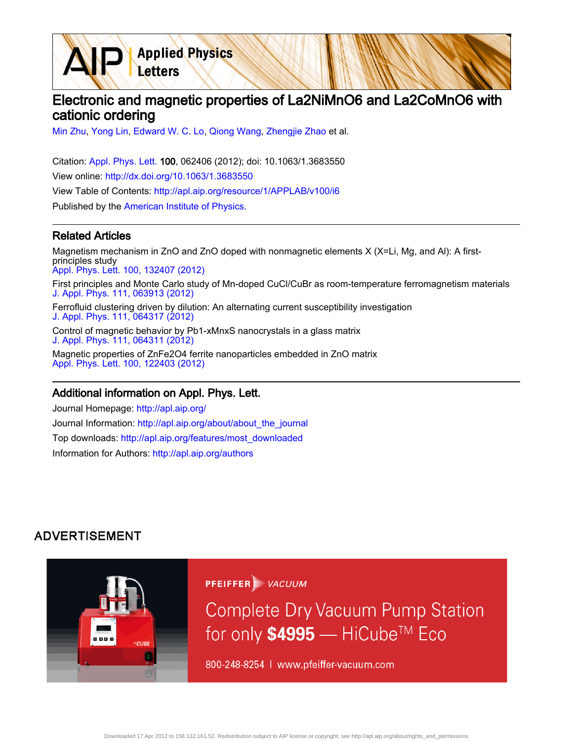Electronic and magnetic properties of La2NiMnO6 and La2CoMnO6 with cationic ordering

[Min Zhu](http://apl.aip.org/search?sortby=newestdate&q=&searchzone=2&searchtype=searchin&faceted=faceted&key=AIP_ALL&possible1=Min Zhu&possible1zone=author&alias=&displayid=AIP&ver=pdfcov), [Yong Lin](http://apl.aip.org/search?sortby=newestdate&q=&searchzone=2&searchtype=searchin&faceted=faceted&key=AIP_ALL&possible1=Yong Lin&possible1zone=author&alias=&displayid=AIP&ver=pdfcov), [Edward W. C. Lo](http://apl.aip.org/search?sortby=newestdate&q=&searchzone=2&searchtype=searchin&faceted=faceted&key=AIP_ALL&possible1=Edward W. C. Lo&possible1zone=author&alias=&displayid=AIP&ver=pdfcov), [Qiong Wang](http://apl.aip.org/search?sortby=newestdate&q=&searchzone=2&searchtype=searchin&faceted=faceted&key=AIP_ALL&possible1=Qiong Wang&possible1zone=author&alias=&displayid=AIP&ver=pdfcov), [Zhengjie Zhao](http://apl.aip.org/search?sortby=newestdate&q=&searchzone=2&searchtype=searchin&faceted=faceted&key=AIP_ALL&possible1=Zhengjie Zhao&possible1zone=author&alias=&displayid=AIP&ver=pdfcov) et al.

**Applied Physics** 

Letters

Citation: [Appl. Phys. Lett. 1](http://apl.aip.org/?ver=pdfcov)00, 062406 (2012); doi: 10.1063/1.3683550 View online: [http://dx.doi.org/10.1063/1.3683550](http://link.aip.org/link/doi/10.1063/1.3683550?ver=pdfcov) View Table of Contents: [http://apl.aip.org/resource/1/APPLAB/v100/i6](http://apl.aip.org/resource/1/APPLAB/v100/i6?ver=pdfcov) Published by the [American Institute of Physics.](http://www.aip.org/?ver=pdfcov)

## Related Articles

Magnetism mechanism in ZnO and ZnO doped with nonmagnetic elements X (X=Li, Mg, and Al): A firstprinciples study [Appl. Phys. Lett. 100, 132407 \(2012\)](http://link.aip.org/link/doi/10.1063/1.3698096?ver=pdfcov) First principles and Monte Carlo study of Mn-doped CuCl/CuBr as room-temperature ferromagnetism materials [J. Appl. Phys. 111, 063913 \(2012\)](http://link.aip.org/link/doi/10.1063/1.3698357?ver=pdfcov) Ferrofluid clustering driven by dilution: An alternating current susceptibility investigation [J. Appl. Phys. 111, 064317 \(2012\)](http://link.aip.org/link/doi/10.1063/1.3697677?ver=pdfcov) Control of magnetic behavior by Pb1-xMnxS nanocrystals in a glass matrix [J. Appl. Phys. 111, 064311 \(2012\)](http://link.aip.org/link/doi/10.1063/1.3694734?ver=pdfcov)

Magnetic properties of ZnFe2O4 ferrite nanoparticles embedded in ZnO matrix [Appl. Phys. Lett. 100, 122403 \(2012\)](http://link.aip.org/link/doi/10.1063/1.3696024?ver=pdfcov)

## Additional information on Appl. Phys. Lett.

Journal Homepage: [http://apl.aip.org/](http://apl.aip.org/?ver=pdfcov) Journal Information: [http://apl.aip.org/about/about\\_the\\_journal](http://apl.aip.org/about/about_the_journal?ver=pdfcov) Top downloads: [http://apl.aip.org/features/most\\_downloaded](http://apl.aip.org/features/most_downloaded?ver=pdfcov) Information for Authors: [http://apl.aip.org/authors](http://apl.aip.org/authors?ver=pdfcov)

## **ADVERTISEMENT**



**PFEIFFER** WACUUM

**Complete Dry Vacuum Pump Station** for only \$4995 — HiCube™ Eco

800-248-8254 | www.pfeiffer-vacuum.com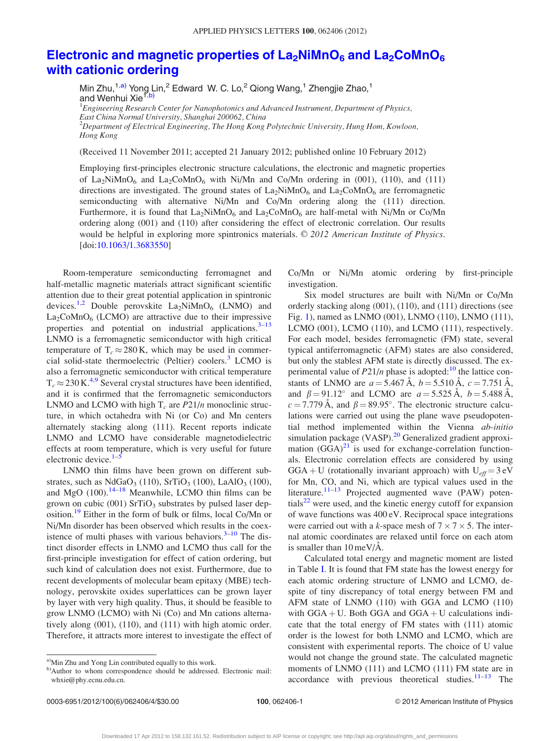## Electronic and magnetic properties of  $La_2NIMnO_6$  and  $La_2CoMnO_6$ [with cationic ordering](http://dx.doi.org/10.1063/1.3683550)

Min Zhu,<sup>1,a)</sup> Yong Lin,<sup>2</sup> Edward W. C. Lo,<sup>2</sup> Qiong Wang,<sup>1</sup> Zhengjie Zhao,<sup>1</sup> and Wenhui Xie<sup>1,b)</sup>

 $^1$ Engineering Research Center for Nanophotonics and Advanced Instrument, Department of Physics, East China Normal University, Shanghai 200062, China  $^{2}$ Department of Electrical Engineering, The Hong Kong Polytechnic University, Hung Hom, Kowloon, Hong Kong

(Received 11 November 2011; accepted 21 January 2012; published online 10 February 2012)

Employing first-principles electronic structure calculations, the electronic and magnetic properties of La<sub>2</sub>NiMnO<sub>6</sub> and La<sub>2</sub>CoMnO<sub>6</sub> with Ni/Mn and Co/Mn ordering in (001), (110), and (111) directions are investigated. The ground states of  $La_2NiMnO_6$  and  $La_2CoMnO_6$  are ferromagnetic semiconducting with alternative Ni/Mn and Co/Mn ordering along the (111) direction. Furthermore, it is found that  $La_2NiMnO_6$  and  $La_2CoMnO_6$  are half-metal with Ni/Mn or Co/Mn ordering along (001) and (110) after considering the effect of electronic correlation. Our results would be helpful in exploring more spintronics materials.  $\odot$  2012 American Institute of Physics. [doi:[10.1063/1.3683550\]](http://dx.doi.org/10.1063/1.3683550)

Room-temperature semiconducting ferromagnet and half-metallic magnetic materials attract significant scientific attention due to their great potential application in spintronic devices.<sup>[1,2](#page-4-0)</sup> Double perovskite  $La_2NiMnO_6$  (LNMO) and  $La_2CoMnO_6$  (LCMO) are attractive due to their impressive properties and potential on industrial applications. $3-13$ LNMO is a ferromagnetic semiconductor with high critical temperature of  $T_c \approx 280 \text{ K}$ , which may be used in commer-cial solid-state thermoelectric (Peltier) coolers.<sup>[3](#page-4-0)</sup> LCMO is also a ferromagnetic semiconductor with critical temperature  $T_c \approx 230 \text{ K}^{4,9}$  $T_c \approx 230 \text{ K}^{4,9}$  $T_c \approx 230 \text{ K}^{4,9}$  Several crystal structures have been identified, and it is confirmed that the ferromagnetic semiconductors LNMO and LCMO with high  $T_c$  are  $P21/n$  monoclinic structure, in which octahedra with Ni (or Co) and Mn centers alternately stacking along (111). Recent reports indicate LNMO and LCMO have considerable magnetodielectric effects at room temperature, which is very useful for future electronic device. $1-5$ 

LNMO thin films have been grown on different substrates, such as  $NdGaO<sub>3</sub>$  (110),  $SrTiO<sub>3</sub>$  (100), LaAlO<sub>3</sub> (100), and MgO  $(100)$ .<sup>[14](#page-4-0)–[18](#page-4-0)</sup> Meanwhile, LCMO thin films can be grown on cubic (001)  $SrTiO<sub>3</sub>$  substrates by pulsed laser dep-osition.<sup>[19](#page-4-0)</sup> Either in the form of bulk or films, local Co/Mn or Ni/Mn disorder has been observed which results in the coexistence of multi phases with various behaviors. $3-10$  The distinct disorder effects in LNMO and LCMO thus call for the first-principle investigation for effect of cation ordering, but such kind of calculation does not exist. Furthermore, due to recent developments of molecular beam epitaxy (MBE) technology, perovskite oxides superlattices can be grown layer by layer with very high quality. Thus, it should be feasible to grow LNMO (LCMO) with Ni (Co) and Mn cations alternatively along (001), (110), and (111) with high atomic order. Therefore, it attracts more interest to investigate the effect of

Co/Mn or Ni/Mn atomic ordering by first-principle investigation.

Six model structures are built with Ni/Mn or Co/Mn orderly stacking along (001), (110), and (111) directions (see Fig. [1](#page-2-0)), named as LNMO (001), LNMO (110), LNMO (111), LCMO (001), LCMO (110), and LCMO (111), respectively. For each model, besides ferromagnetic (FM) state, several typical antiferromagnetic (AFM) states are also considered, but only the stablest AFM state is directly discussed. The experimental value of  $P21/n$  phase is adopted:<sup>[10](#page-4-0)</sup> the lattice constants of LNMO are  $a = 5.467 \text{ Å}$ ,  $b = 5.510 \text{ Å}$ ,  $c = 7.751 \text{ Å}$ , and  $\beta = 91.12^{\circ}$  and LCMO are  $a = 5.525 \text{ Å}$ ,  $b = 5.488 \text{ Å}$ ,  $c = 7.779$  Å, and  $\beta = 89.95^{\circ}$ . The electronic structure calculations were carried out using the plane wave pseudopotential method implemented within the Vienna ab-initio simulation package (VASP).<sup>20</sup> Generalized gradient approximation  $(GGA)^{21}$  $(GGA)^{21}$  $(GGA)^{21}$  is used for exchange-correlation functionals. Electronic correlation effects are considered by using  $GGA + U$  (rotationally invariant approach) with  $U_{eff} = 3 \text{ eV}$ for Mn, CO, and Ni, which are typical values used in the literature.<sup>[11–13](#page-4-0)</sup> Projected augmented wave (PAW) poten-tials<sup>[22](#page-4-0)</sup> were used, and the kinetic energy cutoff for expansion of wave functions was 400 eV. Reciprocal space integrations were carried out with a k-space mesh of  $7 \times 7 \times 5$ . The internal atomic coordinates are relaxed until force on each atom is smaller than  $10 \text{ meV/A}$ .

Calculated total energy and magnetic moment are listed in Table [I](#page-2-0). It is found that FM state has the lowest energy for each atomic ordering structure of LNMO and LCMO, despite of tiny discrepancy of total energy between FM and AFM state of LNMO (110) with GGA and LCMO (110) with  $GGA + U$ . Both  $GGA$  and  $GGA + U$  calculations indicate that the total energy of FM states with (111) atomic order is the lowest for both LNMO and LCMO, which are consistent with experimental reports. The choice of U value would not change the ground state. The calculated magnetic moments of LNMO (111) and LCMO (111) FM state are in accordance with previous theoretical studies. $11-13$  The

<sup>&</sup>lt;sup>a)</sup>Min Zhu and Yong Lin contributed equally to this work.

b)Author to whom correspondence should be addressed. Electronic mail: whxie@phy.ecnu.edu.cn.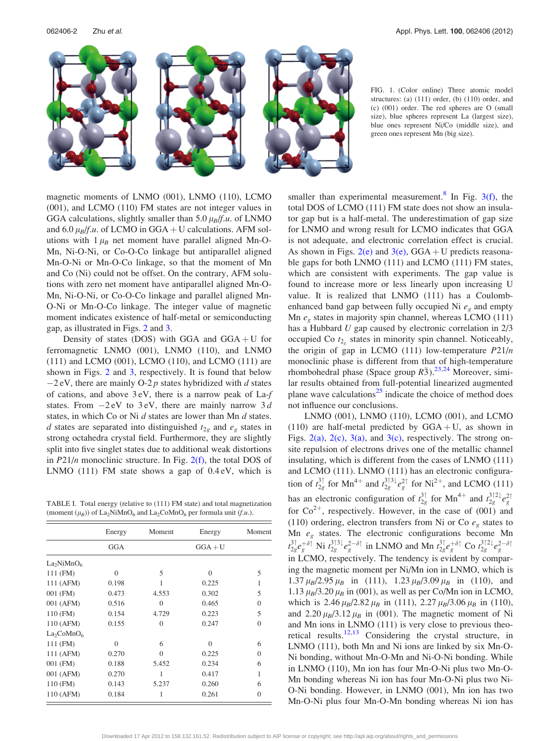<span id="page-2-0"></span>

FIG. 1. (Color online) Three atomic model structures: (a) (111) order, (b) (110) order, and (c) (001) order. The red spheres are O (small size), blue spheres represent La (largest size), blue ones represent Ni/Co (middle size), and green ones represent Mn (big size).

magnetic moments of LNMO (001), LNMO (110), LCMO (001), and LCMO (110) FM states are not integer values in GGA calculations, slightly smaller than 5.0  $\mu_B/f.u.$  of LNMO and 6.0  $\mu_B/f.u.$  of LCMO in GGA + U calculations. AFM solutions with  $1 \mu_B$  net moment have parallel aligned Mn-O-Mn, Ni-O-Ni, or Co-O-Co linkage but antiparallel aligned Mn-O-Ni or Mn-O-Co linkage, so that the moment of Mn and Co (Ni) could not be offset. On the contrary, AFM solutions with zero net moment have antiparallel aligned Mn-O-Mn, Ni-O-Ni, or Co-O-Co linkage and parallel aligned Mn-O-Ni or Mn-O-Co linkage. The integer value of magnetic moment indicates existence of half-metal or semiconducting gap, as illustrated in Figs. [2](#page-3-0) and [3](#page-3-0).

Density of states (DOS) with GGA and  $GGA + U$  for ferromagnetic LNMO (001), LNMO (110), and LNMO (111) and LCMO (001), LCMO (110), and LCMO (111) are shown in Figs. [2](#page-3-0) and [3,](#page-3-0) respectively. It is found that below  $-2$  eV, there are mainly O-2 p states hybridized with d states of cations, and above 3 eV, there is a narrow peak of La-f states. From  $-2$  eV to 3 eV, there are mainly narrow 3 d states, in which Co or Ni d states are lower than Mn d states. d states are separated into distinguished  $t_{2g}$  and  $e_g$  states in strong octahedra crystal field. Furthermore, they are slightly split into five singlet states due to additional weak distortions in  $P21/n$  monoclinic structure. In Fig.  $2(f)$ , the total DOS of LNMO (111) FM state shows a gap of 0.4 eV, which is

TABLE I. Total energy (relative to (111) FM state) and total magnetization (moment  $(\mu_B)$ ) of La<sub>2</sub>NiMnO<sub>6</sub> and La<sub>2</sub>CoMnO<sub>6</sub> per formula unit (f.u.).

|                                    | Energy   | Moment   | Energy    | Moment   |
|------------------------------------|----------|----------|-----------|----------|
|                                    | GGA      |          | $GGA + U$ |          |
| La <sub>2</sub> NiMnO <sub>6</sub> |          |          |           |          |
| 111 (FM)                           | $\Omega$ | 5        | $\Omega$  | 5        |
| 111 (AFM)                          | 0.198    | 1        | 0.225     | 1        |
| 001 (FM)                           | 0.473    | 4.553    | 0.302     | 5        |
| 001 (AFM)                          | 0.516    | $\Omega$ | 0.465     | $\Omega$ |
| $110$ (FM)                         | 0.154    | 4.729    | 0.223     | 5        |
| 110 (AFM)                          | 0.155    | $\Omega$ | 0.247     | $\Omega$ |
| La <sub>2</sub> CoMnO <sub>6</sub> |          |          |           |          |
| 111 (FM)                           | $\Omega$ | 6        | $\Omega$  | 6        |
| 111 (AFM)                          | 0.270    | $\Omega$ | 0.225     | $\Omega$ |
| 001 (FM)                           | 0.188    | 5.452    | 0.234     | 6        |
| 001 (AFM)                          | 0.270    | 1        | 0.417     | 1        |
| 110 (FM)                           | 0.143    | 5.237    | 0.260     | 6        |
| 110 (AFM)                          | 0.184    | 1        | 0.261     | $\Omega$ |

smaller than experimental measurement.<sup>[8](#page-4-0)</sup> In Fig.  $3(f)$ , the total DOS of LCMO (111) FM state does not show an insulator gap but is a half-metal. The underestimation of gap size for LNMO and wrong result for LCMO indicates that GGA is not adequate, and electronic correlation effect is crucial. As shown in Figs. [2\(e\)](#page-3-0) and  $3(e)$ , GGA + U predicts reasonable gaps for both LNMO (111) and LCMO (111) FM states, which are consistent with experiments. The gap value is found to increase more or less linearly upon increasing U value. It is realized that LNMO (111) has a Coulombenhanced band gap between fully occupied Ni  $e<sub>g</sub>$  and empty Mn  $e_{\varrho}$  states in majority spin channel, whereas LCMO (111) has a Hubbard U gap caused by electronic correlation in  $2/3$ occupied Co  $t_{2}$ , states in minority spin channel. Noticeably, the origin of gap in LCMO (111) low-temperature  $P21/n$ monoclinic phase is different from that of high-temperature rhombohedral phase (Space group  $R\bar{3}$ ).<sup>[23,24](#page-4-0)</sup> Moreover, similar results obtained from full-potential linearized augmented plane wave calculations $^{25}$  $^{25}$  $^{25}$  indicate the choice of method does not influence our conclusions.

LNMO (001), LNMO (110), LCMO (001), and LCMO (110) are half-metal predicted by  $GGA + U$ , as shown in Figs. [2\(a\)](#page-3-0), [2\(c\),](#page-3-0) [3\(a\),](#page-3-0) and [3\(c\)](#page-3-0), respectively. The strong onsite repulsion of electrons drives one of the metallic channel insulating, which is different from the cases of LNMO (111) and LCMO (111). LNMO (111) has an electronic configuration of  $t_{2g}^{3\dagger}$  for Mn<sup>4+</sup> and  $t_{2g}^{3\dagger}$  and  $t_{2g}^{3\dagger}$  for Ni<sup>2+</sup>, and LCMO (111) has an electronic configuration of  $t_{2g}^{3\uparrow}$  for Mn<sup>4+</sup> and  $t_{2g}^{3\uparrow 2\downarrow}e_g^{2\uparrow}$ for  $Co^{2+}$ , respectively. However, in the case of (001) and (110) ordering, electron transfers from Ni or Co  $e<sub>g</sub>$  states to Mn  $e_g$  states. The electronic configurations become Mn  $t_{2g}^{3\uparrow}e_{g}^{+\delta\uparrow}$  Ni  $t_{2g}^{3\uparrow}3\downarrow e_{g}^{2-\delta\uparrow}$  in LNMO and Mn  $t_{2g}^{3\uparrow}e_{g}^{+\delta\uparrow}$  Co  $t_{2g}^{3\uparrow}2\downarrow e_{g}^{2-\delta\uparrow}$ in LCMO, respectively. The tendency is evident by comparing the magnetic moment per Ni/Mn ion in LNMO, which is 1.37  $\mu_B/2.95 \mu_B$  in (111), 1.23  $\mu_B/3.09 \mu_B$  in (110), and 1.13  $\mu_B$ /3.20  $\mu_B$  in (001), as well as per Co/Mn ion in LCMO, which is  $2.46 \mu_B/2.82 \mu_B$  in (111),  $2.27 \mu_B/3.06 \mu_B$  in (110), and 2.20  $\mu_B/3.12 \mu_B$  in (001). The magnetic moment of Ni and Mn ions in LNMO (111) is very close to previous theo-retical results.<sup>[12,13](#page-4-0)</sup> Considering the crystal structure, in LNMO (111), both Mn and Ni ions are linked by six Mn-O-Ni bonding, without Mn-O-Mn and Ni-O-Ni bonding. While in LNMO (110), Mn ion has four Mn-O-Ni plus two Mn-O-Mn bonding whereas Ni ion has four Mn-O-Ni plus two Ni-O-Ni bonding. However, in LNMO (001), Mn ion has two Mn-O-Ni plus four Mn-O-Mn bonding whereas Ni ion has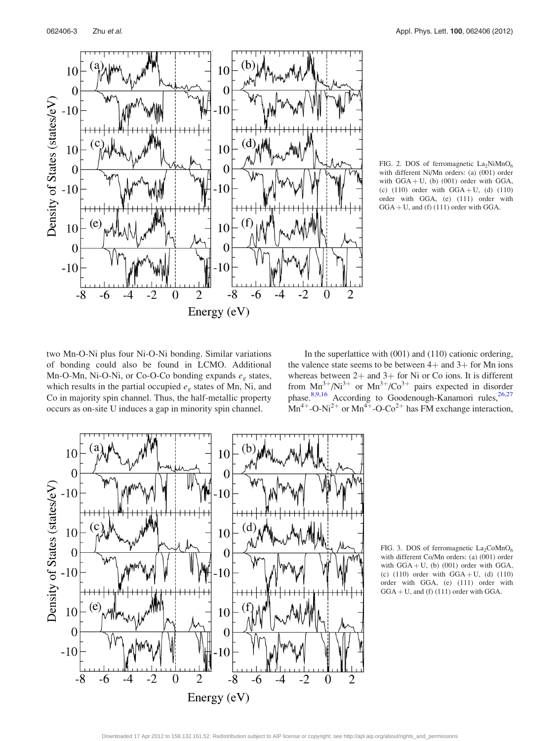<span id="page-3-0"></span>

FIG. 2. DOS of ferromagnetic  $La_2NiMnO_6$ with different Ni/Mn orders: (a) (001) order with  $GGA + U$ , (b) (001) order with  $GGA$ , (c)  $(110)$  order with  $GGA + U$ , (d)  $(110)$ order with GGA, (e) (111) order with  $GGA + U$ , and (f) (111) order with GGA.

two Mn-O-Ni plus four Ni-O-Ni bonding. Similar variations of bonding could also be found in LCMO. Additional Mn-O-Mn, Ni-O-Ni, or Co-O-Co bonding expands  $e_g$  states, which results in the partial occupied  $e<sub>g</sub>$  states of Mn, Ni, and Co in majority spin channel. Thus, the half-metallic property occurs as on-site U induces a gap in minority spin channel.

In the superlattice with (001) and (110) cationic ordering, the valence state seems to be between  $4+$  and  $3+$  for Mn ions whereas between  $2+$  and  $3+$  for Ni or Co ions. It is different from  $Mn^{3+}/Ni^{3+}$  or  $Mn^{3+}/Co^{3+}$  pairs expected in disorder phase.<sup>[8,9](#page-4-0),[16](#page-4-0)</sup> According to Goodenough-Kanamori rules,<sup>26,27</sup>  $Mn^{4+}$ -O-Ni<sup>2+</sup> or  $Mn^{4+}$ -O-Co<sup>2+</sup> has FM exchange interaction,



FIG. 3. DOS of ferromagnetic  $La_2CoMnO_6$ with different Co/Mn orders: (a) (001) order with  $GGA + U$ , (b) (001) order with  $GGA$ , (c)  $(110)$  order with  $GGA + U$ , (d)  $(110)$ order with GGA, (e) (111) order with  $GGA + U$ , and (f) (111) order with GGA.